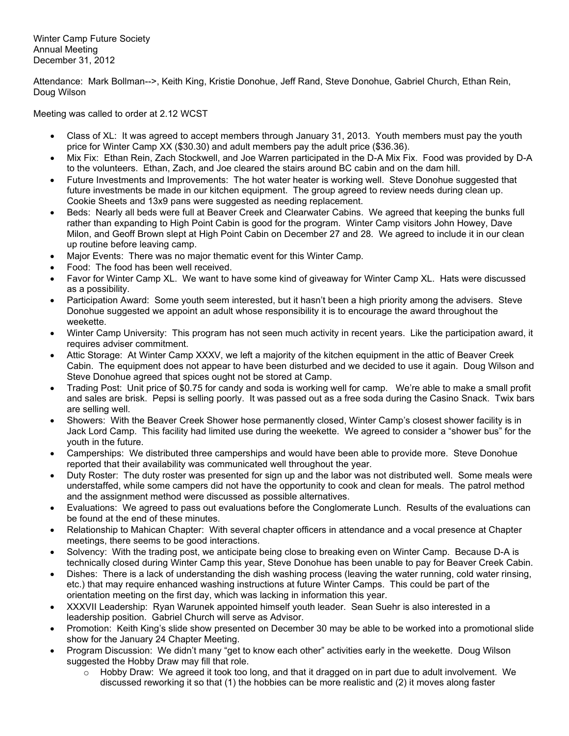Winter Camp Future Society Annual Meeting December 31, 2012

Attendance: Mark Bollman-->, Keith King, Kristie Donohue, Jeff Rand, Steve Donohue, Gabriel Church, Ethan Rein, Doug Wilson

Meeting was called to order at 2.12 WCST

- Class of XL: It was agreed to accept members through January 31, 2013. Youth members must pay the youth price for Winter Camp XX (\$30.30) and adult members pay the adult price (\$36.36).
- Mix Fix: Ethan Rein, Zach Stockwell, and Joe Warren participated in the D-A Mix Fix. Food was provided by D-A to the volunteers. Ethan, Zach, and Joe cleared the stairs around BC cabin and on the dam hill.
- Future Investments and Improvements: The hot water heater is working well. Steve Donohue suggested that future investments be made in our kitchen equipment. The group agreed to review needs during clean up. Cookie Sheets and 13x9 pans were suggested as needing replacement.
- Beds: Nearly all beds were full at Beaver Creek and Clearwater Cabins. We agreed that keeping the bunks full rather than expanding to High Point Cabin is good for the program. Winter Camp visitors John Howey, Dave Milon, and Geoff Brown slept at High Point Cabin on December 27 and 28. We agreed to include it in our clean up routine before leaving camp.
- Major Events: There was no major thematic event for this Winter Camp.
- Food: The food has been well received.
- Favor for Winter Camp XL. We want to have some kind of giveaway for Winter Camp XL. Hats were discussed as a possibility.
- Participation Award: Some youth seem interested, but it hasn't been a high priority among the advisers. Steve Donohue suggested we appoint an adult whose responsibility it is to encourage the award throughout the weekette.
- Winter Camp University: This program has not seen much activity in recent years. Like the participation award, it requires adviser commitment.
- Attic Storage: At Winter Camp XXXV, we left a majority of the kitchen equipment in the attic of Beaver Creek Cabin. The equipment does not appear to have been disturbed and we decided to use it again. Doug Wilson and Steve Donohue agreed that spices ought not be stored at Camp.
- Trading Post: Unit price of \$0.75 for candy and soda is working well for camp. We're able to make a small profit and sales are brisk. Pepsi is selling poorly. It was passed out as a free soda during the Casino Snack. Twix bars are selling well.
- Showers: With the Beaver Creek Shower hose permanently closed, Winter Camp's closest shower facility is in Jack Lord Camp. This facility had limited use during the weekette. We agreed to consider a "shower bus" for the youth in the future.
- Camperships: We distributed three camperships and would have been able to provide more. Steve Donohue reported that their availability was communicated well throughout the year.
- Duty Roster: The duty roster was presented for sign up and the labor was not distributed well. Some meals were understaffed, while some campers did not have the opportunity to cook and clean for meals. The patrol method and the assignment method were discussed as possible alternatives.
- Evaluations: We agreed to pass out evaluations before the Conglomerate Lunch. Results of the evaluations can be found at the end of these minutes.
- Relationship to Mahican Chapter: With several chapter officers in attendance and a vocal presence at Chapter meetings, there seems to be good interactions.
- Solvency: With the trading post, we anticipate being close to breaking even on Winter Camp. Because D-A is technically closed during Winter Camp this year, Steve Donohue has been unable to pay for Beaver Creek Cabin.
- Dishes: There is a lack of understanding the dish washing process (leaving the water running, cold water rinsing, etc.) that may require enhanced washing instructions at future Winter Camps. This could be part of the orientation meeting on the first day, which was lacking in information this year.
- XXXVII Leadership: Ryan Warunek appointed himself youth leader. Sean Suehr is also interested in a leadership position. Gabriel Church will serve as Advisor.
- Promotion: Keith King's slide show presented on December 30 may be able to be worked into a promotional slide show for the January 24 Chapter Meeting.
- Program Discussion: We didn't many "get to know each other" activities early in the weekette. Doug Wilson suggested the Hobby Draw may fill that role.
	- $\circ$  Hobby Draw: We agreed it took too long, and that it dragged on in part due to adult involvement. We discussed reworking it so that (1) the hobbies can be more realistic and (2) it moves along faster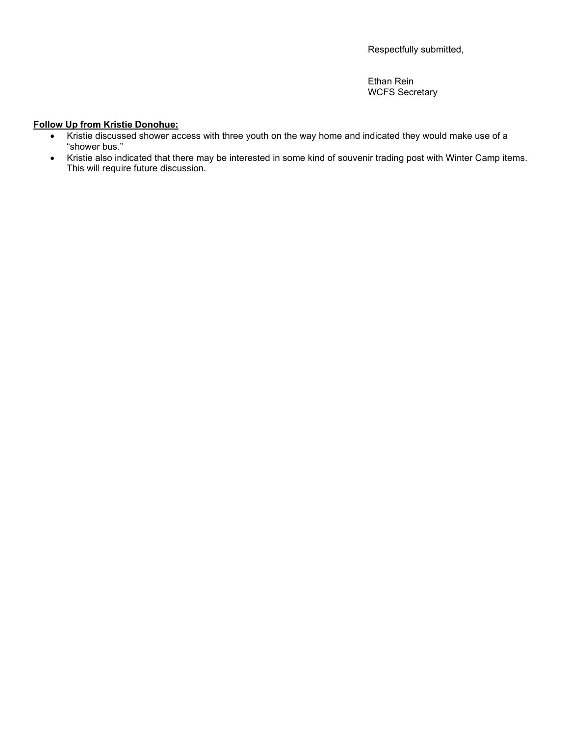Respectfully submitted,

Ethan Rein WCFS Secretary

## **Follow Up from Kristie Donohue:**

- Kristie discussed shower access with three youth on the way home and indicated they would make use of a "shower bus."
- Kristie also indicated that there may be interested in some kind of souvenir trading post with Winter Camp items. This will require future discussion.